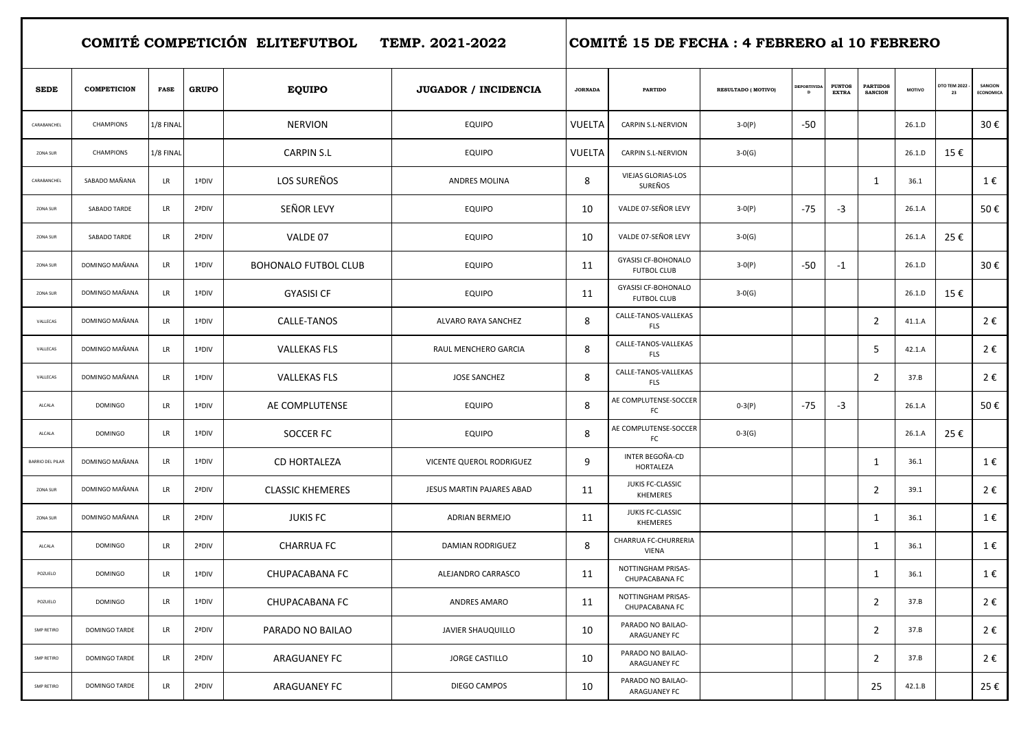|                         | COMITÉ COMPETICIÓN ELITEFUTBOL TEMP. 2021-2022 |             |              |                         |                                  |                | COMITÉ 15 DE FECHA : 4 FEBRERO al 10 FEBRERO     |                    |                                    |                               |                                   |        |                           |                             |  |  |
|-------------------------|------------------------------------------------|-------------|--------------|-------------------------|----------------------------------|----------------|--------------------------------------------------|--------------------|------------------------------------|-------------------------------|-----------------------------------|--------|---------------------------|-----------------------------|--|--|
| <b>SEDE</b>             | <b>COMPETICION</b>                             | <b>FASE</b> | <b>GRUPO</b> | <b>EQUIPO</b>           | <b>JUGADOR / INCIDENCIA</b>      | <b>JORNADA</b> | <b>PARTIDO</b>                                   | RESULTADO (MOTIVO) | <b>DEPORTIVIDA</b><br>$\mathbf{D}$ | <b>PUNTOS</b><br><b>EXTRA</b> | <b>PARTIDOS</b><br><b>SANCION</b> | MOTIVO | <b>DTO TEM 2022</b><br>23 | SANCION<br><b>ECONOMICA</b> |  |  |
| CARABANCHEL             | <b>CHAMPIONS</b>                               | 1/8 FINAL   |              | <b>NERVION</b>          | <b>EQUIPO</b>                    | <b>VUELTA</b>  | CARPIN S.L-NERVION                               | $3-0(P)$           | -50                                |                               |                                   | 26.1.D |                           | 30€                         |  |  |
| ZONA SUR                | <b>CHAMPIONS</b>                               | 1/8 FINAL   |              | <b>CARPIN S.L</b>       | <b>EQUIPO</b>                    | VUELTA         | <b>CARPIN S.L-NERVION</b>                        | $3-0(G)$           |                                    |                               |                                   | 26.1.D | 15€                       |                             |  |  |
| CARABANCHEL             | SABADO MAÑANA                                  | LR          | 1ªDIV        | LOS SUREÑOS             | <b>ANDRES MOLINA</b>             | 8              | VIEJAS GLORIAS-LOS<br>SUREÑOS                    |                    |                                    |                               | 1                                 | 36.1   |                           | 1€                          |  |  |
| ZONA SUR                | SABADO TARDE                                   | LR          | 2ªDIV        | SEÑOR LEVY              | <b>EQUIPO</b>                    | 10             | VALDE 07-SEÑOR LEVY                              | $3-0(P)$           | -75                                | -3                            |                                   | 26.1.A |                           | 50€                         |  |  |
| ZONA SUR                | SABADO TARDE                                   | LR          | 2ªDIV        | VALDE 07                | <b>EQUIPO</b>                    | 10             | VALDE 07-SEÑOR LEVY                              | $3-0(G)$           |                                    |                               |                                   | 26.1.A | 25€                       |                             |  |  |
| ZONA SUR                | DOMINGO MAÑANA                                 | LR          | 1ªDIV        | BOHONALO FUTBOL CLUB    | <b>EQUIPO</b>                    | 11             | <b>GYASISI CF-BOHONALO</b><br><b>FUTBOL CLUB</b> | $3-0(P)$           | -50                                | $-1$                          |                                   | 26.1.D |                           | 30€                         |  |  |
| ZONA SUR                | DOMINGO MAÑANA                                 | LR          | 1ªDIV        | <b>GYASISI CF</b>       | <b>EQUIPO</b>                    | 11             | <b>GYASISI CF-BOHONALO</b><br><b>FUTBOL CLUB</b> | $3-0(G)$           |                                    |                               |                                   | 26.1.D | 15€                       |                             |  |  |
| VALLECAS                | DOMINGO MAÑANA                                 | LR          | 1ªDIV        | CALLE-TANOS             | ALVARO RAYA SANCHEZ              | 8              | CALLE-TANOS-VALLEKAS<br><b>FLS</b>               |                    |                                    |                               | $\overline{2}$                    | 41.1.A |                           | 2€                          |  |  |
| VALLECAS                | DOMINGO MAÑANA                                 | LR          | 1ªDIV        | <b>VALLEKAS FLS</b>     | RAUL MENCHERO GARCIA             | 8              | CALLE-TANOS-VALLEKAS<br>FLS                      |                    |                                    |                               | 5                                 | 42.1.A |                           | 2€                          |  |  |
| VALLECAS                | DOMINGO MAÑANA                                 | LR          | 1ªDIV        | <b>VALLEKAS FLS</b>     | JOSE SANCHEZ                     | 8              | CALLE-TANOS-VALLEKAS<br><b>FLS</b>               |                    |                                    |                               | $\overline{2}$                    | 37.B   |                           | 2€                          |  |  |
| ALCALA                  | <b>DOMINGO</b>                                 | LR          | 1ªDIV        | AE COMPLUTENSE          | <b>EQUIPO</b>                    | 8              | AE COMPLUTENSE-SOCCER<br>FC                      | $0-3(P)$           | -75                                | -3                            |                                   | 26.1.A |                           | 50€                         |  |  |
| ALCALA                  | <b>DOMINGO</b>                                 | LR          | 1ªDIV        | SOCCER FC               | <b>EQUIPO</b>                    | 8              | AE COMPLUTENSE-SOCCER<br>FC                      | $0-3(G)$           |                                    |                               |                                   | 26.1.A | 25€                       |                             |  |  |
| <b>BARRIO DEL PILAR</b> | DOMINGO MAÑANA                                 | LR          | 1ªDIV        | <b>CD HORTALEZA</b>     | VICENTE QUEROL RODRIGUEZ         | 9              | INTER BEGOÑA-CD<br>HORTALEZA                     |                    |                                    |                               | 1                                 | 36.1   |                           | 1€                          |  |  |
| ZONA SUR                | DOMINGO MAÑANA                                 | LR          | 2ªDIV        | <b>CLASSIC KHEMERES</b> | <b>JESUS MARTIN PAJARES ABAD</b> | 11             | JUKIS FC-CLASSIC<br><b>KHEMERES</b>              |                    |                                    |                               | $\overline{2}$                    | 39.1   |                           | 2€                          |  |  |
| ZONA SUR                | DOMINGO MAÑANA                                 | LR          | 2ªDIV        | <b>JUKIS FC</b>         | ADRIAN BERMEJO                   | 11             | JUKIS FC-CLASSIC<br>KHEMERES                     |                    |                                    |                               | $\mathbf{1}$                      | 36.1   |                           | 1€                          |  |  |
| ALCALA                  | <b>DOMINGO</b>                                 | LR          | 2ªDIV        | <b>CHARRUA FC</b>       | <b>DAMIAN RODRIGUEZ</b>          | 8              | CHARRUA FC-CHURRERIA<br>VIENA                    |                    |                                    |                               | $\mathbf{1}$                      | 36.1   |                           | 1€                          |  |  |
| POZUELO                 | DOMINGO                                        | <b>LR</b>   | 1ªDIV        | CHUPACABANA FC          | ALEJANDRO CARRASCO               | 11             | NOTTINGHAM PRISAS-<br>CHUPACABANA FC             |                    |                                    |                               | $\mathbf{1}$                      | 36.1   |                           | $1 \in$                     |  |  |
| POZUELO                 | <b>DOMINGO</b>                                 | LR          | 1ªDIV        | <b>CHUPACABANA FC</b>   | ANDRES AMARO                     | 11             | NOTTINGHAM PRISAS-<br>CHUPACABANA FC             |                    |                                    |                               | $\overline{2}$                    | 37.B   |                           | 2€                          |  |  |
| SMP RETIRO              | DOMINGO TARDE                                  | LR          | 2ªDIV        | PARADO NO BAILAO        | JAVIER SHAUQUILLO                | 10             | PARADO NO BAILAO-<br>ARAGUANEY FC                |                    |                                    |                               | $\overline{2}$                    | 37.B   |                           | 2€                          |  |  |
| SMP RETIRO              | DOMINGO TARDE                                  | LR          | 2ªDIV        | ARAGUANEY FC            | <b>JORGE CASTILLO</b>            | 10             | PARADO NO BAILAO-<br>ARAGUANEY FC                |                    |                                    |                               | $\overline{2}$                    | 37.B   |                           | 2€                          |  |  |
| SMP RETIRO              | DOMINGO TARDE                                  | LR          | 2ªDIV        | ARAGUANEY FC            | DIEGO CAMPOS                     | 10             | PARADO NO BAILAO-<br>ARAGUANEY FC                |                    |                                    |                               | 25                                | 42.1.B |                           | 25 €                        |  |  |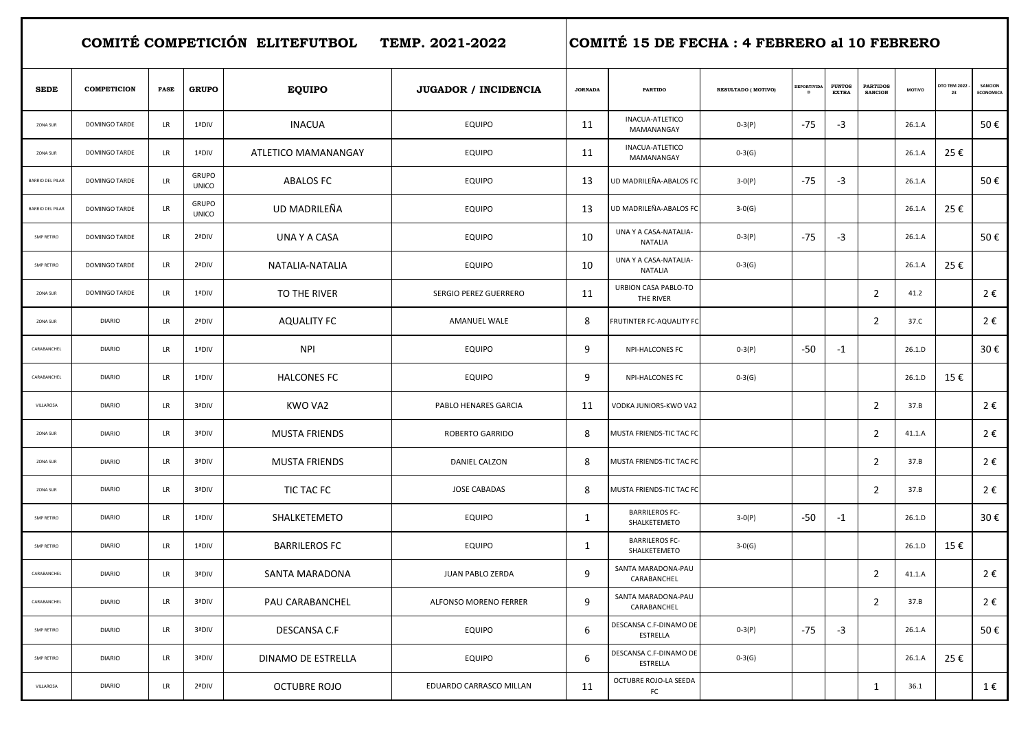|                         |                      |             |                              | COMITÉ COMPETICIÓN ELITEFUTBOL TEMP. 2021-2022 | COMITÉ 15 DE FECHA : 4 FEBRERO al 10 FEBRERO |                |                                       |                     |                    |                               |                                   |        |                      |                      |
|-------------------------|----------------------|-------------|------------------------------|------------------------------------------------|----------------------------------------------|----------------|---------------------------------------|---------------------|--------------------|-------------------------------|-----------------------------------|--------|----------------------|----------------------|
| <b>SEDE</b>             | <b>COMPETICION</b>   | <b>FASE</b> | <b>GRUPO</b>                 | <b>EQUIPO</b>                                  | JUGADOR / INCIDENCIA                         | <b>JORNADA</b> | <b>PARTIDO</b>                        | RESULTADO ( MOTIVO) | <b>DEPORTIVIDA</b> | <b>PUNTOS</b><br><b>EXTRA</b> | <b>PARTIDOS</b><br><b>SANCION</b> | MOTIVO | DTO TEM 2022 -<br>23 | SANCION<br>ECONOMICA |
| ZONA SUR                | DOMINGO TARDE        | LR          | 1ªDIV                        | <b>INACUA</b>                                  | <b>EQUIPO</b>                                | 11             | INACUA-ATLETICO<br>MAMANANGAY         | $0-3(P)$            | $-75$              | -3                            |                                   | 26.1.A |                      | 50€                  |
| ZONA SUR                | DOMINGO TARDE        | LR          | 1ªDIV                        | ATLETICO MAMANANGAY                            | <b>EQUIPO</b>                                | 11             | INACUA-ATLETICO<br>MAMANANGAY         | $0-3(G)$            |                    |                               |                                   | 26.1.A | 25€                  |                      |
| <b>BARRIO DEL PILAR</b> | DOMINGO TARDE        | LR          | <b>GRUPO</b><br><b>UNICO</b> | ABALOS FC                                      | <b>EQUIPO</b>                                | 13             | UD MADRILEÑA-ABALOS FC                | $3-0(P)$            | $-75$              | -3                            |                                   | 26.1.A |                      | 50€                  |
| <b>BARRIO DEL PILAR</b> | <b>DOMINGO TARDE</b> | LR          | <b>GRUPO</b><br><b>UNICO</b> | UD MADRILEÑA                                   | <b>EQUIPO</b>                                | 13             | UD MADRILEÑA-ABALOS FC                | $3-0(G)$            |                    |                               |                                   | 26.1.A | 25€                  |                      |
| SMP RETIRO              | <b>DOMINGO TARDE</b> | LR          | 2ªDIV                        | UNA Y A CASA                                   | <b>EQUIPO</b>                                | 10             | UNA Y A CASA-NATALIA-<br>NATALIA      | $0-3(P)$            | $-75$              | -3                            |                                   | 26.1.A |                      | 50€                  |
| SMP RETIRO              | DOMINGO TARDE        | LR          | 2ªDIV                        | NATALIA-NATALIA                                | <b>EQUIPO</b>                                | 10             | UNA Y A CASA-NATALIA-<br>NATALIA      | $0-3(G)$            |                    |                               |                                   | 26.1.A | 25€                  |                      |
| ZONA SUR                | DOMINGO TARDE        | LR          | 1ªDIV                        | TO THE RIVER                                   | <b>SERGIO PEREZ GUERRERO</b>                 | 11             | URBION CASA PABLO-TO<br>THE RIVER     |                     |                    |                               | $\overline{2}$                    | 41.2   |                      | 2€                   |
| ZONA SUR                | <b>DIARIO</b>        | LR          | 2ªDIV                        | AQUALITY FC                                    | <b>AMANUEL WALE</b>                          | 8              | <b>FRUTINTER FC-AQUALITY FC</b>       |                     |                    |                               | $\overline{2}$                    | 37.C   |                      | 2€                   |
| CARABANCHEL             | <b>DIARIO</b>        | LR          | 1ªDIV                        | <b>NPI</b>                                     | <b>EQUIPO</b>                                | 9              | <b>NPI-HALCONES FC</b>                | $0-3(P)$            | -50                | $-1$                          |                                   | 26.1.D |                      | 30€                  |
| CARABANCHEL             | <b>DIARIO</b>        | LR          | 1ªDIV                        | <b>HALCONES FC</b>                             | <b>EQUIPO</b>                                | 9              | <b>NPI-HALCONES FC</b>                | $0-3(G)$            |                    |                               |                                   | 26.1.D | 15€                  |                      |
| VILLAROSA               | <b>DIARIO</b>        | LR          | 3ªDIV                        | KWO VA2                                        | PABLO HENARES GARCIA                         | 11             | VODKA JUNIORS-KWO VA2                 |                     |                    |                               | $\overline{2}$                    | 37.B   |                      | 2€                   |
| ZONA SUR                | <b>DIARIO</b>        | LR          | 3ªDIV                        | <b>MUSTA FRIENDS</b>                           | <b>ROBERTO GARRIDO</b>                       | 8              | MUSTA FRIENDS-TIC TAC FC              |                     |                    |                               | $\overline{2}$                    | 41.1.A |                      | 2€                   |
| ZONA SUR                | <b>DIARIO</b>        | LR          | 3ªDIV                        | <b>MUSTA FRIENDS</b>                           | DANIEL CALZON                                | 8              | MUSTA FRIENDS-TIC TAC FC              |                     |                    |                               | $\overline{2}$                    | 37.B   |                      | 2€                   |
| ZONA SUR                | <b>DIARIO</b>        | LR          | 3ªDIV                        | TIC TAC FC                                     | <b>JOSE CABADAS</b>                          | 8              | MUSTA FRIENDS-TIC TAC FC              |                     |                    |                               | $\overline{2}$                    | 37.B   |                      | 2€                   |
| SMP RETIRO              | <b>DIARIO</b>        | LR          | 1ªDIV                        | SHALKETEMETO                                   | <b>EQUIPO</b>                                | 1              | <b>BARRILEROS FC-</b><br>SHALKETEMETO | $3-0(P)$            | -50                | $-1$                          |                                   | 26.1.D |                      | 30€                  |
| SMP RETIRO              | <b>DIARIO</b>        | LR          | 1ªDIV                        | <b>BARRILEROS FC</b>                           | <b>EQUIPO</b>                                | $\mathbf{1}$   | <b>BARRILEROS FC-</b><br>SHALKETEMETO | $3-0(G)$            |                    |                               |                                   | 26.1.D | 15€                  |                      |
| CARABANCHEL             | <b>DIARIO</b>        | <b>LR</b>   | 3ªDIV                        | SANTA MARADONA                                 | JUAN PABLO ZERDA                             | 9              | SANTA MARADONA-PAU<br>CARABANCHEL     |                     |                    |                               | $2^{\circ}$                       | 41.1.A |                      | 2€                   |
| CARABANCHEL             | <b>DIARIO</b>        | LR          | 3ªDIV                        | PAU CARABANCHEL                                | ALFONSO MORENO FERRER                        | 9              | SANTA MARADONA-PAU<br>CARABANCHEL     |                     |                    |                               | $\overline{2}$                    | 37.B   |                      | 2€                   |
| SMP RETIRO              | <b>DIARIO</b>        | LR          | 3ªDIV                        | DESCANSA C.F                                   | <b>EQUIPO</b>                                | 6              | DESCANSA C.F-DINAMO DE<br>ESTRELLA    | $0-3(P)$            | $-75$              | $-3$                          |                                   | 26.1.A |                      | 50€                  |
| SMP RETIRO              | <b>DIARIO</b>        | LR          | 3ªDIV                        | DINAMO DE ESTRELLA                             | <b>EQUIPO</b>                                | 6              | DESCANSA C.F-DINAMO DE<br>ESTRELLA    | $0-3(G)$            |                    |                               |                                   | 26.1.A | 25€                  |                      |
| VILLAROSA               | <b>DIARIO</b>        | LR          | 2ªDIV                        | <b>OCTUBRE ROJO</b>                            | EDUARDO CARRASCO MILLAN                      | 11             | OCTUBRE ROJO-LA SEEDA<br>FC           |                     |                    |                               | $\mathbf{1}$                      | 36.1   |                      | 1€                   |